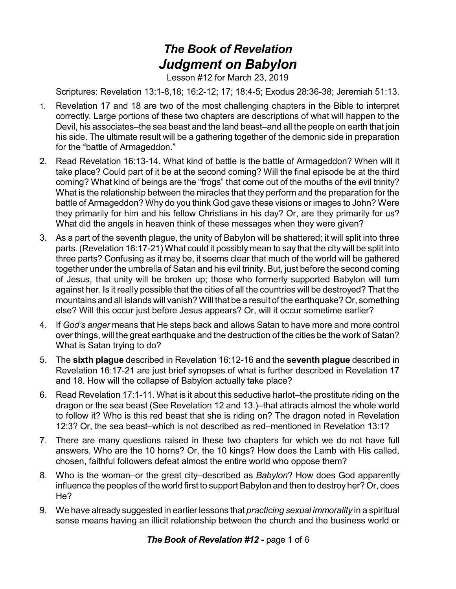## *The Book of Revelation Judgment on Babylon*

Lesson #12 for March 23, 2019

Scriptures: Revelation 13:1-8,18; 16:2-12; 17; 18:4-5; Exodus 28:36-38; Jeremiah 51:13.

- 1. Revelation 17 and 18 are two of the most challenging chapters in the Bible to interpret correctly. Large portions of these two chapters are descriptions of what will happen to the Devil, his associates–the sea beast and the land beast–and all the people on earth that join his side. The ultimate result will be a gathering together of the demonic side in preparation for the "battle of Armageddon."
- 2. Read Revelation 16:13-14. What kind of battle is the battle of Armageddon? When will it take place? Could part of it be at the second coming? Will the final episode be at the third coming? What kind of beings are the "frogs" that come out of the mouths of the evil trinity? What is the relationship between the miracles that they perform and the preparation for the battle of Armageddon? Why do you think God gave these visions or images to John? Were they primarily for him and his fellow Christians in his day? Or, are they primarily for us? What did the angels in heaven think of these messages when they were given?
- 3. As a part of the seventh plague, the unity of Babylon will be shattered; it will split into three parts. (Revelation 16:17-21) What could it possibly mean to say that the city will be split into three parts? Confusing as it may be, it seems clear that much of the world will be gathered together under the umbrella of Satan and his evil trinity. But, just before the second coming of Jesus, that unity will be broken up; those who formerly supported Babylon will turn against her. Is it really possible that the cities of all the countries will be destroyed? That the mountains and all islands will vanish? Will that be a result of the earthquake? Or, something else? Will this occur just before Jesus appears? Or, will it occur sometime earlier?
- 4. If *God's anger* means that He steps back and allows Satan to have more and more control over things, will the great earthquake and the destruction of the cities be the work of Satan? What is Satan trying to do?
- 5. The **sixth plague** described in Revelation 16:12-16 and the **seventh plague** described in Revelation 16:17-21 are just brief synopses of what is further described in Revelation 17 and 18. How will the collapse of Babylon actually take place?
- 6. Read Revelation 17:1-11. What is it about this seductive harlot–the prostitute riding on the dragon or the sea beast (See Revelation 12 and 13.)–that attracts almost the whole world to follow it? Who is this red beast that she is riding on? The dragon noted in Revelation 12:3? Or, the sea beast–which is not described as red–mentioned in Revelation 13:1?
- 7. There are many questions raised in these two chapters for which we do not have full answers. Who are the 10 horns? Or, the 10 kings? How does the Lamb with His called, chosen, faithful followers defeat almost the entire world who oppose them?
- 8. Who is the woman–or the great city–described as *Babylon*? How does God apparently influence the peoples of the world first to support Babylon and then to destroy her? Or, does He?
- 9. We have already suggested in earlier lessons that *practicing sexual immorality* in a spiritual sense means having an illicit relationship between the church and the business world or

*The Book of Revelation #12* **-** page 1 of 6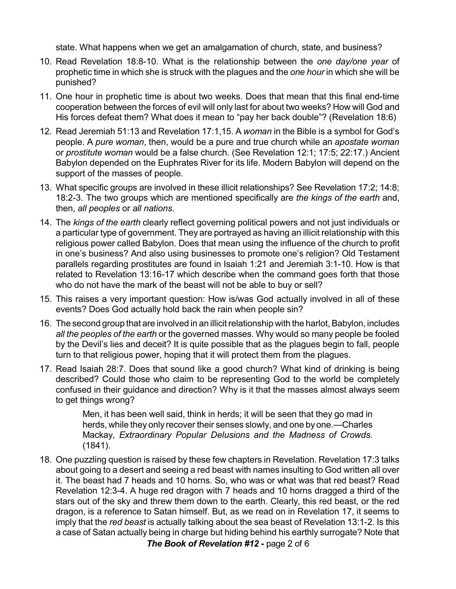state. What happens when we get an amalgamation of church, state, and business?

- 10. Read Revelation 18:8-10. What is the relationship between the *one day/one year* of prophetic time in which she is struck with the plagues and the *one hour* in which she will be punished?
- 11. One hour in prophetic time is about two weeks. Does that mean that this final end-time cooperation between the forces of evil will only last for about two weeks? How will God and His forces defeat them? What does it mean to "pay her back double"? (Revelation 18:6)
- 12. Read Jeremiah 51:13 and Revelation 17:1,15. A *woman* in the Bible is a symbol for God's people. A *pure woman*, then, would be a pure and true church while an *apostate woman* or *prostitute woman* would be a false church. (See Revelation 12:1; 17:5; 22:17.) Ancient Babylon depended on the Euphrates River for its life. Modern Babylon will depend on the support of the masses of people.
- 13. What specific groups are involved in these illicit relationships? See Revelation 17:2; 14:8; 18:2-3. The two groups which are mentioned specifically are *the kings of the earth* and, then, *all peoples* or *all nations*.
- 14. The *kings of the earth* clearly reflect governing political powers and not just individuals or a particular type of government. They are portrayed as having an illicit relationship with this religious power called Babylon. Does that mean using the influence of the church to profit in one's business? And also using businesses to promote one's religion? Old Testament parallels regarding prostitutes are found in Isaiah 1:21 and Jeremiah 3:1-10. How is that related to Revelation 13:16-17 which describe when the command goes forth that those who do not have the mark of the beast will not be able to buy or sell?
- 15. This raises a very important question: How is/was God actually involved in all of these events? Does God actually hold back the rain when people sin?
- 16. The second group that are involved in an illicit relationship with the harlot, Babylon, includes *all the peoples of the earth* or the governed masses. Why would so many people be fooled by the Devil's lies and deceit? It is quite possible that as the plagues begin to fall, people turn to that religious power, hoping that it will protect them from the plagues.
- 17. Read Isaiah 28:7. Does that sound like a good church? What kind of drinking is being described? Could those who claim to be representing God to the world be completely confused in their guidance and direction? Why is it that the masses almost always seem to get things wrong?

Men, it has been well said, think in herds; it will be seen that they go mad in herds, while they only recover their senses slowly, and one by one.—Charles Mackay, *Extraordinary Popular Delusions and the Madness of Crowds.* (1841).

18. One puzzling question is raised by these few chapters in Revelation. Revelation 17:3 talks about going to a desert and seeing a red beast with names insulting to God written all over it. The beast had 7 heads and 10 horns. So, who was or what was that red beast? Read Revelation 12:3-4. A huge red dragon with 7 heads and 10 horns dragged a third of the stars out of the sky and threw them down to the earth. Clearly, this red beast, or the red dragon, is a reference to Satan himself. But, as we read on in Revelation 17, it seems to imply that the *red beast* is actually talking about the sea beast of Revelation 13:1-2. Is this a case of Satan actually being in charge but hiding behind his earthly surrogate? Note that

*The Book of Revelation #12* **-** page 2 of 6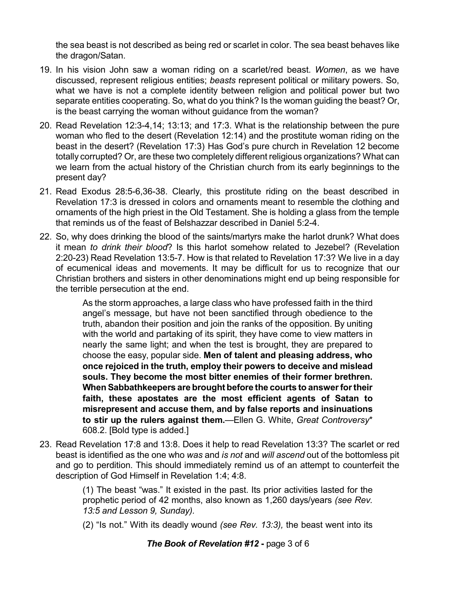the sea beast is not described as being red or scarlet in color. The sea beast behaves like the dragon/Satan.

- 19. In his vision John saw a woman riding on a scarlet/red beast. *Women*, as we have discussed, represent religious entities; *beasts* represent political or military powers. So, what we have is not a complete identity between religion and political power but two separate entities cooperating. So, what do you think? Is the woman guiding the beast? Or, is the beast carrying the woman without guidance from the woman?
- 20. Read Revelation 12:3-4,14; 13:13; and 17:3. What is the relationship between the pure woman who fled to the desert (Revelation 12:14) and the prostitute woman riding on the beast in the desert? (Revelation 17:3) Has God's pure church in Revelation 12 become totally corrupted? Or, are these two completely different religious organizations? What can we learn from the actual history of the Christian church from its early beginnings to the present day?
- 21. Read Exodus 28:5-6,36-38. Clearly, this prostitute riding on the beast described in Revelation 17:3 is dressed in colors and ornaments meant to resemble the clothing and ornaments of the high priest in the Old Testament. She is holding a glass from the temple that reminds us of the feast of Belshazzar described in Daniel 5:2-4.
- 22. So, why does drinking the blood of the saints/martyrs make the harlot drunk? What does it mean *to drink their blood*? Is this harlot somehow related to Jezebel? (Revelation 2:20-23) Read Revelation 13:5-7. How is that related to Revelation 17:3? We live in a day of ecumenical ideas and movements. It may be difficult for us to recognize that our Christian brothers and sisters in other denominations might end up being responsible for the terrible persecution at the end.

As the storm approaches, a large class who have professed faith in the third angel's message, but have not been sanctified through obedience to the truth, abandon their position and join the ranks of the opposition. By uniting with the world and partaking of its spirit, they have come to view matters in nearly the same light; and when the test is brought, they are prepared to choose the easy, popular side. **Men of talent and pleasing address, who once rejoiced in the truth, employ their powers to deceive and mislead souls. They become the most bitter enemies of their former brethren. When Sabbathkeepers are brought before the courts to answerfortheir faith, these apostates are the most efficient agents of Satan to misrepresent and accuse them, and by false reports and insinuations to stir up the rulers against them.**—Ellen G. White, *Great Controversy*\* 608.2. [Bold type is added.]

23. Read Revelation 17:8 and 13:8. Does it help to read Revelation 13:3? The scarlet or red beast is identified as the one who *was* and *is not* and *will ascend* out of the bottomless pit and go to perdition. This should immediately remind us of an attempt to counterfeit the description of God Himself in Revelation 1:4; 4:8.

> (1) The beast "was." It existed in the past. Its prior activities lasted for the prophetic period of 42 months, also known as 1,260 days/years *(see Rev. 13:5 and Lesson 9, Sunday).*

> (2) "Is not." With its deadly wound *(see Rev. 13:3),* the beast went into its

## *The Book of Revelation #12* **-** page 3 of 6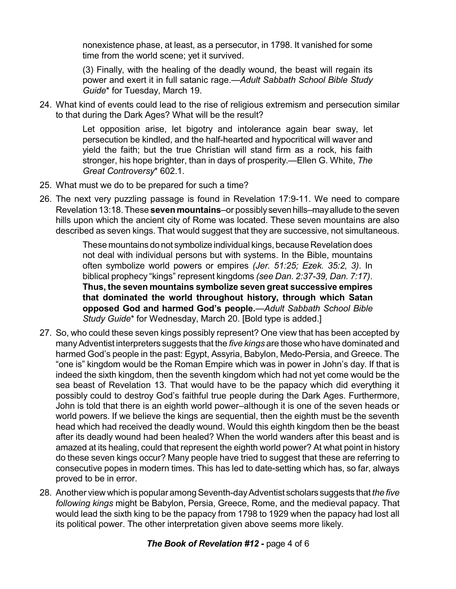nonexistence phase, at least, as a persecutor, in 1798. It vanished for some time from the world scene; yet it survived.

(3) Finally, with the healing of the deadly wound, the beast will regain its power and exert it in full satanic rage.—*Adult Sabbath School Bible Study Guide*\* for Tuesday, March 19.

24. What kind of events could lead to the rise of religious extremism and persecution similar to that during the Dark Ages? What will be the result?

> Let opposition arise, let bigotry and intolerance again bear sway, let persecution be kindled, and the half-hearted and hypocritical will waver and yield the faith; but the true Christian will stand firm as a rock, his faith stronger, his hope brighter, than in days of prosperity.—Ellen G. White, *The Great Controversy*\* 602.1.

- 25. What must we do to be prepared for such a time?
- 26. The next very puzzling passage is found in Revelation 17:9-11. We need to compare Revelation 13:18.These **seven mountains**–or possibly sevenhills–mayallude to the seven hills upon which the ancient city of Rome was located. These seven mountains are also described as seven kings. That would suggest that they are successive, not simultaneous.

These mountainsdonot symbolize individual kings, because Revelation does not deal with individual persons but with systems. In the Bible, mountains often symbolize world powers or empires *(Jer. 51:25; Ezek. 35:2, 3)*. In biblical prophecy "kings" represent kingdoms *(see Dan. 2:37-39, Dan. 7:17)*. **Thus, the seven mountains symbolize seven great successive empires that dominated the world throughout history, through which Satan opposed God and harmed God's people.**—*Adult Sabbath School Bible Study Guide*\* for Wednesday, March 20. [Bold type is added.]

- 27. So, who could these seven kings possibly represent? One view that has been accepted by manyAdventist interpreters suggests that the *five kings* are those who have dominated and harmed God's people in the past: Egypt, Assyria, Babylon, Medo-Persia, and Greece. The "one is" kingdom would be the Roman Empire which was in power in John's day. If that is indeed the sixth kingdom, then the seventh kingdom which had not yet come would be the sea beast of Revelation 13. That would have to be the papacy which did everything it possibly could to destroy God's faithful true people during the Dark Ages. Furthermore, John is told that there is an eighth world power–although it is one of the seven heads or world powers. If we believe the kings are sequential, then the eighth must be the seventh head which had received the deadly wound. Would this eighth kingdom then be the beast after its deadly wound had been healed? When the world wanders after this beast and is amazed at its healing, could that represent the eighth world power? At what point in history do these seven kings occur? Many people have tried to suggest that these are referring to consecutive popes in modern times. This has led to date-setting which has, so far, always proved to be in error.
- 28. Another view which is popular among Seventh-day Adventist scholars suggests that *the five following kings* might be Babylon, Persia, Greece, Rome, and the medieval papacy. That would lead the sixth king to be the papacy from 1798 to 1929 when the papacy had lost all its political power. The other interpretation given above seems more likely.

## *The Book of Revelation #12* **-** page 4 of 6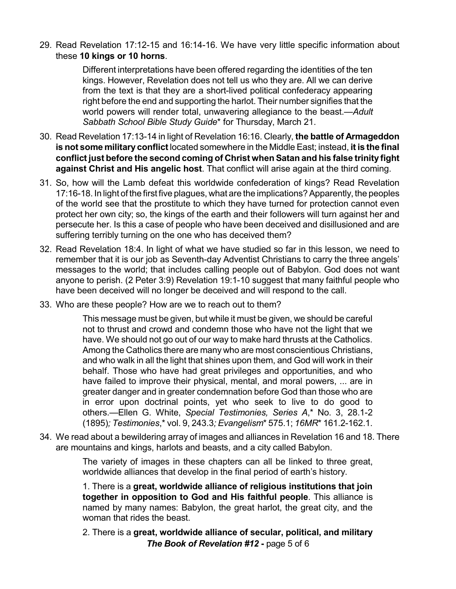29. Read Revelation 17:12-15 and 16:14-16. We have very little specific information about these **10 kings or 10 horns**.

> Different interpretations have been offered regarding the identities of the ten kings. However, Revelation does not tell us who they are. All we can derive from the text is that they are a short-lived political confederacy appearing right before the end and supporting the harlot. Their number signifies that the world powers will render total, unwavering allegiance to the beast.—*Adult Sabbath School Bible Study Guide*\* for Thursday, March 21.

- 30. Read Revelation 17:13-14 in light of Revelation 16:16. Clearly, **the battle of Armageddon is not some military conflict** located somewhere in the Middle East; instead, **it is the final conflict just before the second coming of Christ when Satan and his false trinity fight against Christ and His angelic host**. That conflict will arise again at the third coming.
- 31. So, how will the Lamb defeat this worldwide confederation of kings? Read Revelation 17:16-18. In light of the first five plagues, what are the implications?Apparently, the peoples of the world see that the prostitute to which they have turned for protection cannot even protect her own city; so, the kings of the earth and their followers will turn against her and persecute her. Is this a case of people who have been deceived and disillusioned and are suffering terribly turning on the one who has deceived them?
- 32. Read Revelation 18:4. In light of what we have studied so far in this lesson, we need to remember that it is our job as Seventh-day Adventist Christians to carry the three angels' messages to the world; that includes calling people out of Babylon. God does not want anyone to perish. (2 Peter 3:9) Revelation 19:1-10 suggest that many faithful people who have been deceived will no longer be deceived and will respond to the call.
- 33. Who are these people? How are we to reach out to them?

This message must be given, but while it must be given, we should be careful not to thrust and crowd and condemn those who have not the light that we have. We should not go out of our way to make hard thrusts at the Catholics. Among the Catholics there are many who are most conscientious Christians, and who walk in all the light that shines upon them, and God will work in their behalf. Those who have had great privileges and opportunities, and who have failed to improve their physical, mental, and moral powers, ... are in greater danger and in greater condemnation before God than those who are in error upon doctrinal points, yet who seek to live to do good to others.—Ellen G. White, *Special Testimonies, Series A*,\* No. 3, 28.1-2 (1895)*; Testimonies*,\* vol. 9, 243.3*; Evangelism*\* 575.1; *16MR*\* 161.2-162.1.

34. We read about a bewildering array of images and alliances in Revelation 16 and 18. There are mountains and kings, harlots and beasts, and a city called Babylon.

> The variety of images in these chapters can all be linked to three great, worldwide alliances that develop in the final period of earth's history.

> 1. There is a **great, worldwide alliance of religious institutions that join together in opposition to God and His faithful people**. This alliance is named by many names: Babylon, the great harlot, the great city, and the woman that rides the beast.

> 2. There is a **great, worldwide alliance of secular, political, and military** *The Book of Revelation #12* **-** page 5 of 6